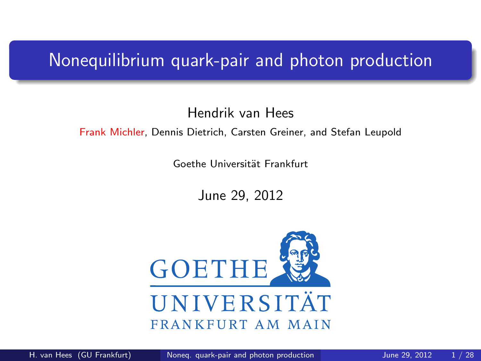#### Nonequilibrium quark-pair and photon production

#### Hendrik van Hees

#### Frank Michler, Dennis Dietrich, Carsten Greiner, and Stefan Leupold

Goethe Universität Frankfurt

<span id="page-0-0"></span>June 29, 2012

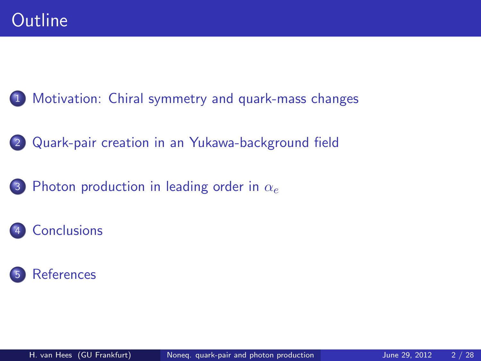1 [Motivation: Chiral symmetry and quark-mass changes](#page-2-0)

- 2 [Quark-pair creation in an Yukawa-background field](#page-5-0)
- 3 [Photon production in leading order in](#page-14-0)  $\alpha_e$
- **[Conclusions](#page-22-0)**

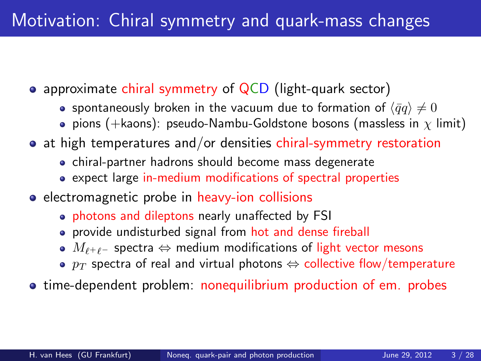- approximate chiral symmetry of QCD (light-quark sector)
	- spontaneously broken in the vacuum due to formation of  $\langle \bar{q}q \rangle \neq 0$
	- **•** pions (+kaons): pseudo-Nambu-Goldstone bosons (massless in  $\chi$  limit)
- at high temperatures and/or densities chiral-symmetry restoration
	- chiral-partner hadrons should become mass degenerate
	- expect large in-medium modifications of spectral properties
- electromagnetic probe in heavy-ion collisions
	- photons and dileptons nearly unaffected by FSI
	- **•** provide undisturbed signal from hot and dense fireball
	- $M_{\ell^+\ell^-}$  spectra  $\Leftrightarrow$  medium modifications of light vector mesons
	- $p_T$  spectra of real and virtual photons  $\Leftrightarrow$  collective flow/temperature
- <span id="page-2-0"></span>**The-dependent problem:** nonequilibrium production of em. probes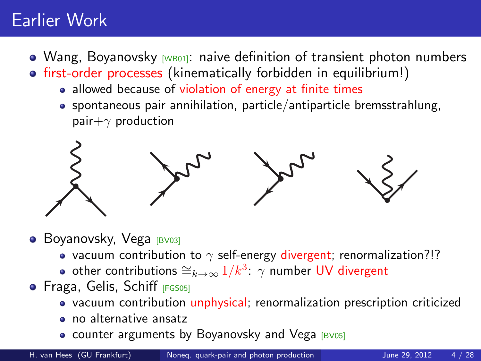### Earlier Work

- Wang, Boyanovsky  $w$ <sub>B01</sub>: naive definition of transient photon numbers
- first-order processes (kinematically forbidden in equilibrium!)
	- allowed because of violation of energy at finite times
	- spontaneous pair annihilation, particle/antiparticle bremsstrahlung, pair $+\gamma$  production



**• Boyanovsky, Vega [\[BV03\]](#page-26-1)** 

- vacuum contribution to  $\gamma$  self-energy divergent; renormalization?!?
- other contributions  $\cong_{k\to\infty} 1/k^3$ :  $\gamma$  number UV divergent
- **•** Fraga, Gelis, Schiff [\[FGS05\]](#page-26-2)
	- vacuum contribution unphysical; renormalization prescription criticized
	- no alternative ansatz
	- counter arguments by Boyanovsky and Vega  $[BU05]$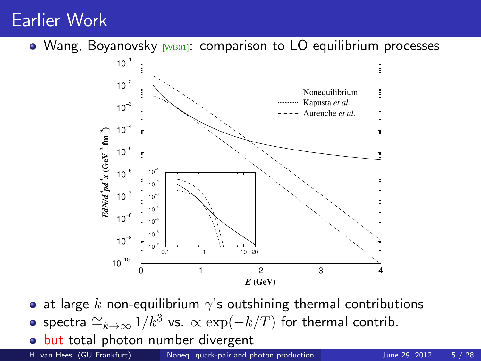#### Earlier Work

 $\bullet$  Wang, Boyanovsky [\[WB01\]](#page-27-1): comparison to LO equilibrium processes



- at large k non-equilibrium  $\gamma$ 's outshining thermal contributions
- spectra  $\cong_{k\to\infty} 1/k^3$  vs.  $\propto \exp(-k/T)$  for thermal contrib.
- but total photon number divergent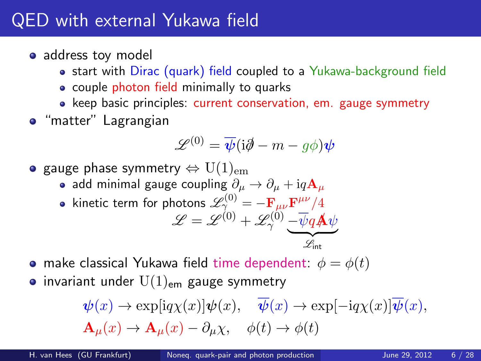### QED with external Yukawa field

- address toy model
	- start with Dirac (quark) field coupled to a Yukawa-background field
	- couple photon field minimally to quarks
	- keep basic principles: current conservation, em. gauge symmetry
- **o** "matter" Lagrangian

$$
\mathscr{L}^{(0)} = \overline{\psi}(\mathrm{i}\partial\!\!\!/- m - g\phi)\bm{\psi}
$$

• gauge phase symmetry  $\Leftrightarrow$   $U(1)_{em}$ 

- add minimal gauge coupling  $\partial_{\mu} \rightarrow \partial_{\mu} + i q A_{\mu}$
- kinetic term for photons  $\mathscr{L}^{(0)}_{\gamma_{0}} = \mathbf{F}_{\mu\nu} \mathbf{F}^{\mu\nu}/4$

<span id="page-5-0"></span>
$$
\mathscr{L} = \mathscr{L}^{(0)} + \mathscr{L}_{\gamma}^{(0)} \underbrace{-\overline{\psi} q \mathbf{A} \psi}_{\mathscr{L}_{\text{int}}}
$$

- make classical Yukawa field time dependent:  $\phi = \phi(t)$
- invariant under  $U(1)_{em}$  gauge symmetry

$$
\label{eq:psi} \begin{split} &\psi(x)\rightarrow \exp[\mathrm{i} q\chi(x)]\psi(x),\quad \overline{\psi}(x)\rightarrow \exp[-\mathrm{i} q\chi(x)]\overline{\psi}(x),\\ &\mathbf{A}_{\mu}(x)\rightarrow \mathbf{A}_{\mu}(x)-\partial_{\mu}\chi,\quad \phi(t)\rightarrow \phi(t) \end{split}
$$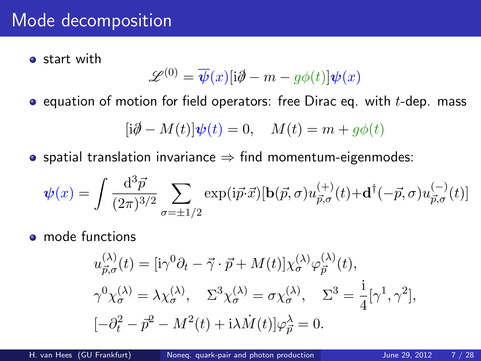#### Mode decomposition

**o** start with

$$
\mathcal{L}^{(0)} = \overline{\psi}(x)[i\partial \!\!\!/- m - g\phi(t)]\psi(x)
$$

 $\bullet$  equation of motion for field operators: free Dirac eq. with  $t$ -dep. mass

$$
[\mathrm{i}\partial\!\!\!/- M(t)]\psi(t)=0,\quad M(t)=m+g\phi(t)
$$

• spatial translation invariance  $\Rightarrow$  find momentum-eigenmodes:

$$
\psi(x) = \int \frac{\mathrm{d}^3 \vec{p}}{(2\pi)^{3/2}} \sum_{\sigma=\pm 1/2} \exp(i\vec{p}\cdot\vec{x}) [\mathbf{b}(\vec{p}, \sigma) u_{\vec{p}, \sigma}^{(+)}(t) + \mathbf{d}^{\dagger}(-\vec{p}, \sigma) u_{\vec{p}, \sigma}^{(-)}(t)]
$$

• mode functions

$$
u_{\vec{p},\sigma}^{(\lambda)}(t) = [i\gamma^0 \partial_t - \vec{\gamma} \cdot \vec{p} + M(t)] \chi_{\sigma}^{(\lambda)} \varphi_{\vec{p}}^{(\lambda)}(t),
$$
  

$$
\gamma^0 \chi_{\sigma}^{(\lambda)} = \lambda \chi_{\sigma}^{(\lambda)}, \quad \Sigma^3 \chi_{\sigma}^{(\lambda)} = \sigma \chi_{\sigma}^{(\lambda)}, \quad \Sigma^3 = \frac{i}{4} [\gamma^1, \gamma^2],
$$
  

$$
[-\partial_t^2 - \vec{p}^2 - M^2(t) + i\lambda \dot{M}(t)] \varphi_{\vec{p}}^{\lambda} = 0.
$$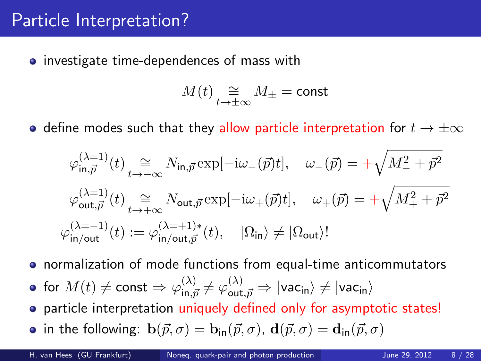#### Particle Interpretation?

**•** investigate time-dependences of mass with

$$
M(t) \underset{t \to \pm \infty}{\cong} M_{\pm} = \text{const}
$$

 $\bullet$  define modes such that they allow particle interpretation for  $t \to \pm \infty$ 

$$
\begin{split} \varphi_{\text{in},\vec{p}}^{(\lambda=1)}(t) & \underset{t\rightarrow -\infty}{\cong} N_{\text{in},\vec{p}} \exp[-\mathrm{i}\omega_{-}(\vec{p})t], \quad \omega_{-}(\vec{p}) = +\sqrt{M_{-}^{2}+\vec{p}^{2}} \\ \varphi_{\text{out},\vec{p}}^{(\lambda=1)}(t) & \underset{t\rightarrow +\infty}{\cong} N_{\text{out},\vec{p}} \exp[-\mathrm{i}\omega_{+}(\vec{p})t], \quad \omega_{+}(\vec{p}) = +\sqrt{M_{+}^{2}+\vec{p}^{2}} \\ \varphi_{\text{in}/\text{out}}^{(\lambda=-1)}(t) & := \varphi_{\text{in}/\text{out},\vec{p}}^{(\lambda=+1)*}(t), \quad |\Omega_{\text{in}}\rangle \neq |\Omega_{\text{out}}\rangle! \end{split}
$$

normalization of mode functions from equal-time anticommutators

- for  $M(t)\neq {\sf const} \Rightarrow \varphi_{\sf in,\vec{p}}^{(\lambda)}\neq \varphi_{\sf out,\vec{p}}^{(\lambda)}\Rightarrow |{\sf vac}_{\sf in}\rangle \neq |{\sf vac}_{\sf in}\rangle$
- particle interpretation uniquely defined only for asymptotic states!
- in the following:  $\mathbf{b}(\vec{p}, \sigma) = \mathbf{b}_{in}(\vec{p}, \sigma)$ ,  $\mathbf{d}(\vec{p}, \sigma) = \mathbf{d}_{in}(\vec{p}, \sigma)$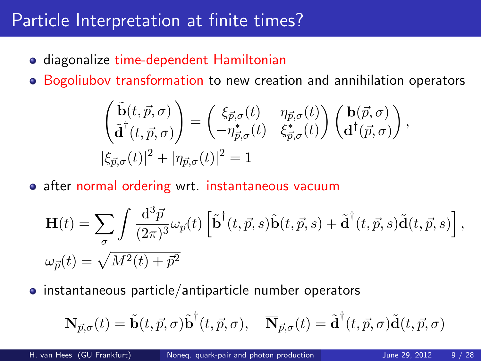#### Particle Interpretation at finite times?

- **•** diagonalize time-dependent Hamiltonian
- Bogoliubov transformation to new creation and annihilation operators

$$
\begin{pmatrix}\n\tilde{\mathbf{b}}(t,\vec{p},\sigma) \\
\tilde{\mathbf{d}}^{\dagger}(t,\vec{p},\sigma)\n\end{pmatrix} = \begin{pmatrix}\n\xi_{\vec{p},\sigma}(t) & \eta_{\vec{p},\sigma}(t) \\
-\eta_{\vec{p},\sigma}^*(t) & \xi_{\vec{p},\sigma}^*(t)\n\end{pmatrix} \begin{pmatrix}\n\mathbf{b}(\vec{p},\sigma) \\
\mathbf{d}^{\dagger}(\vec{p},\sigma)\n\end{pmatrix},
$$
\n
$$
|\xi_{\vec{p},\sigma}(t)|^2 + |\eta_{\vec{p},\sigma}(t)|^2 = 1
$$

• after normal ordering wrt. instantaneous vacuum

$$
\mathbf{H}(t) = \sum_{\sigma} \int \frac{\mathrm{d}^3 \vec{p}}{(2\pi)^3} \omega_{\vec{p}}(t) \left[ \tilde{\mathbf{b}}^\dagger(t, \vec{p}, s) \tilde{\mathbf{b}}(t, \vec{p}, s) + \tilde{\mathbf{d}}^\dagger(t, \vec{p}, s) \tilde{\mathbf{d}}(t, \vec{p}, s) \right],
$$
  

$$
\omega_{\vec{p}}(t) = \sqrt{M^2(t) + \vec{p}^2}
$$

• instantaneous particle/antiparticle number operators

$$
\mathbf{N}_{\vec{p},\sigma}(t) = \tilde{\mathbf{b}}(t,\vec{p},\sigma)\tilde{\mathbf{b}}^{\dagger}(t,\vec{p},\sigma), \quad \overline{\mathbf{N}}_{\vec{p},\sigma}(t) = \tilde{\mathbf{d}}^{\dagger}(t,\vec{p},\sigma)\tilde{\mathbf{d}}(t,\vec{p},\sigma)
$$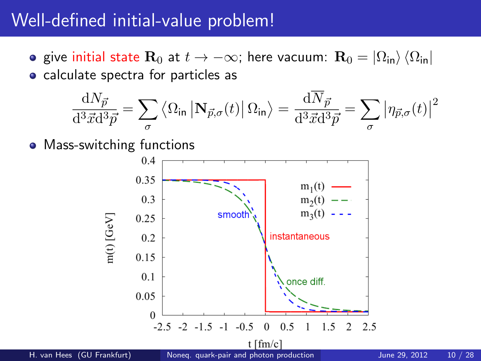#### Well-defined initial-value problem!

- give initial state R<sub>0</sub> at  $t \to -\infty$ ; here vacuum: R<sub>0</sub> =  $|\Omega_{\text{in}}\rangle$   $\langle\Omega_{\text{in}}|$
- calculate spectra for particles as

$$
\frac{\mathrm{d}N_{\vec{p}}}{\mathrm{d}^3 \vec{x} \mathrm{d}^3 \vec{p}} = \sum_{\sigma} \left\langle \Omega_{\text{in}} \left| \mathbf{N}_{\vec{p},\sigma}(t) \right| \Omega_{\text{in}} \right\rangle = \frac{\mathrm{d}N_{\vec{p}}}{\mathrm{d}^3 \vec{x} \mathrm{d}^3 \vec{p}} = \sum_{\sigma} \left| \eta_{\vec{p},\sigma}(t) \right|^2
$$

• Mass-switching functions

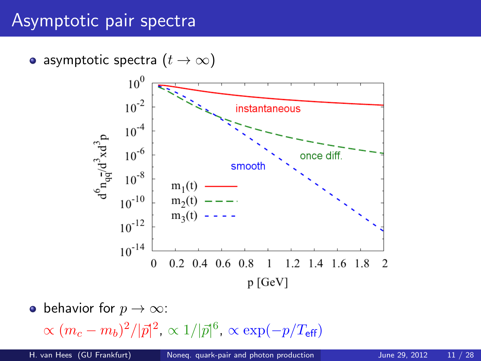#### Asymptotic pair spectra

• asymptotic spectra  $(t \to \infty)$ 



• behavior for  $p \to \infty$ :

 $\propto (m_c-m_b)^2/|\vec{p}|^2$ ,  $\propto 1/|\vec{p}|^6$ ,  $\propto \exp(-p/T_{\sf eff})$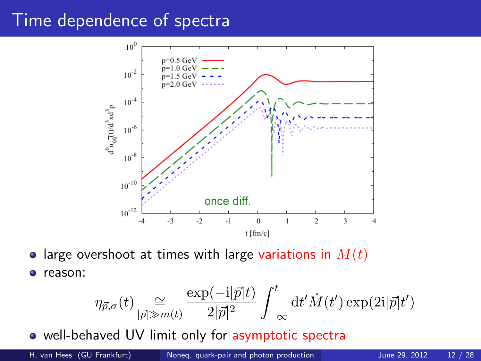#### Time dependence of spectra



• large overshoot at times with large variations in  $M(t)$ o reason:

$$
\eta_{\vec{p},\sigma}(t) \underset{|\vec{p}| \gg m(t)}{\cong} \frac{\exp(-i|\vec{p}|t)}{2|\vec{p}|^2} \int_{-\infty}^t \mathrm{d}t' \dot{M}(t') \exp(2i|\vec{p}|t')
$$

well-behaved UV limit only for asymptotic spectra

H. van Hees (GU Frankfurt) Noneg. quark-pair and photon production June 29, 2012 12 / 28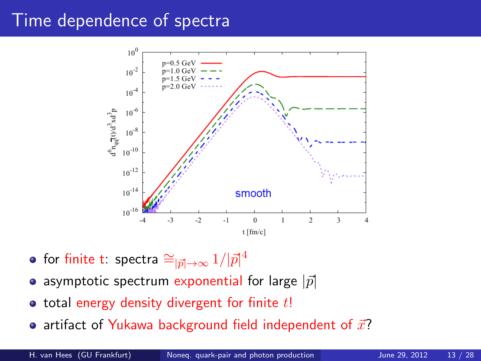#### Time dependence of spectra



- for finite t: spectra  $\cong_{|\vec{p}|\to\infty}1/|\vec{p}|^4$
- asymptotic spectrum exponential for large  $|\vec{p}|$
- $\bullet$  total energy density divergent for finite  $t!$
- artifact of Yukawa background field independent of  $\vec{x}$ ?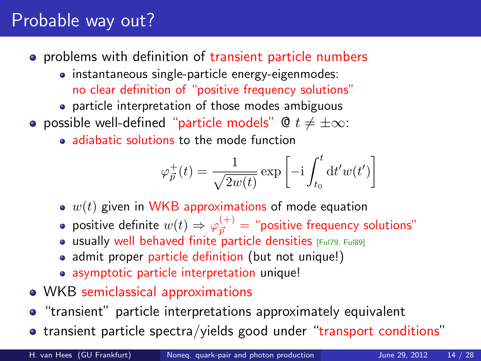## Probable way out?

- **•** problems with definition of transient particle numbers
	- instantaneous single-particle energy-eigenmodes: no clear definition of "positive frequency solutions"
	- particle interpretation of those modes ambiguous
- **•** possible well-defined "particle models"  $\&mathbf{0}$   $t \neq \pm \infty$ :
	- adiabatic solutions to the mode function

$$
\varphi^+_{\vec{p}}(t) = \frac{1}{\sqrt{2w(t)}} \exp\left[-\mathrm{i} \int_{t_0}^t \mathrm{d} t' w(t')\right]
$$

- $\bullet$   $w(t)$  given in WKB approximations of mode equation
- positive definite  $w(t) \Rightarrow \varphi_{\vec{p}}^{(+)} =$  "positive frequency solutions"
- **usually well behaved finite particle densities** [\[Ful79,](#page-26-4) [Ful89\]](#page-27-2)
- admit proper particle definition (but not unique!)
- asymptotic particle interpretation unique!
- WKB semiclassical approximations
- **•** "transient" particle interpretations approximately equivalent
- transient particle spectra/yields good under "transport conditions"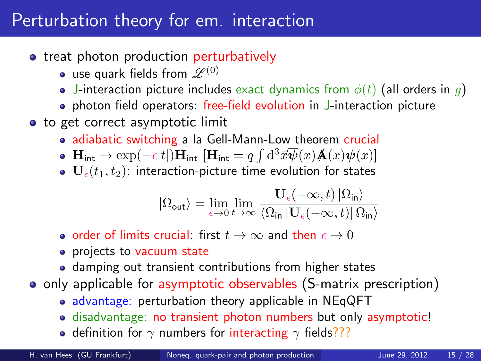#### Perturbation theory for em. interaction

- treat photon production perturbatively
	- use quark fields from  $\mathscr{L}^{(0)}$
	- J-interaction picture includes exact dynamics from  $\phi(t)$  (all orders in g)
	- photon field operators: free-field evolution in J-interaction picture
- to get correct asymptotic limit
	- adiabatic switching a la Gell-Mann-Low theorem crucial
	- $\mathbf{H}_{\text{int}} \to \exp(-\epsilon|t|) \mathbf{H}_{\text{int}} \, [\mathbf{H}_{\text{int}} = q \int \mathrm{d}^3 \vec{x} \overline{\boldsymbol{\psi}}(x) \mathbf{A}(x) \boldsymbol{\psi}(x)]$
	- $\bullet$   $\mathbf{U}_{\epsilon}(t_1, t_2)$ : interaction-picture time evolution for states

<span id="page-14-0"></span>
$$
\left|\Omega_{\rm out}\right\rangle=\lim_{\epsilon\rightarrow0}\lim_{t\rightarrow\infty}\frac{\mathbf{U}_{\epsilon}(-\infty,t)\left|\Omega_{\rm in}\right\rangle}{\left\langle \Omega_{\rm in}\left|\mathbf{U}_{\epsilon}(-\infty,t)\right|\Omega_{\rm in}\right\rangle}
$$

- order of limits crucial: first  $t \to \infty$  and then  $\epsilon \to 0$
- projects to vacuum state
- damping out transient contributions from higher states
- o only applicable for asymptotic observables (S-matrix prescription)
	- advantage: perturbation theory applicable in NEqQFT
	- disadvantage: no transient photon numbers but only asymptotic!
	- definition for  $\gamma$  numbers for interacting  $\gamma$  fields???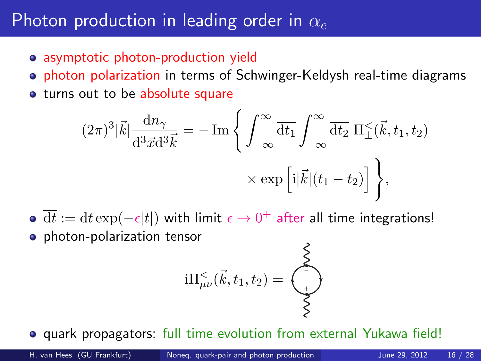#### Photon production in leading order in  $\alpha_e$

- asymptotic photon-production yield
- **photon polarization in terms of Schwinger-Keldysh real-time diagrams**
- turns out to be absolute square

$$
(2\pi)^3 |\vec{k}| \frac{dn_\gamma}{d^3 \vec{x} d^3 \vec{k}} = -\operatorname{Im} \left\{ \int_{-\infty}^{\infty} \overline{dt_1} \int_{-\infty}^{\infty} \overline{dt_2} \, \Pi_\perp^<(\vec{k}, t_1, t_2) \right. \times \exp \left[ i |\vec{k}| (t_1 - t_2) \right] \bigg\},
$$

- $\overline{\mathrm{d}t} := \mathrm{d}t \exp(-\epsilon|t|)$  with limit  $\epsilon \to 0^+$  after all time integrations!
- **•** photon-polarization tensor

$$
\mathrm{i} \Pi^<_{\mu\nu}(\vec k,t_1,t_2) = \underbrace{\begin{pmatrix} 1 \\ 0 \\ 0 \\ 0 \end{pmatrix}}
$$

 $\overline{ }$ 

**• quark propagators:** full time evolution from external Yukawa field!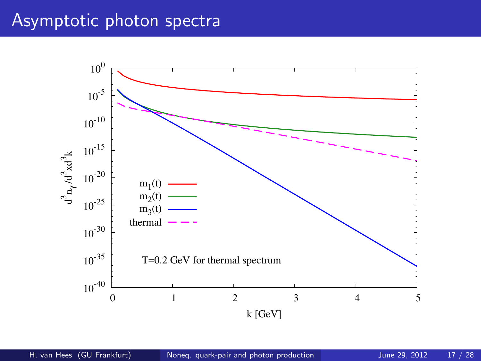### Asymptotic photon spectra

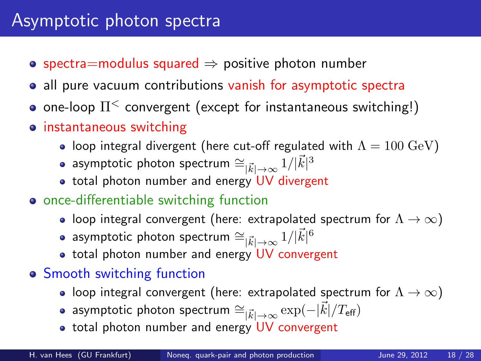- spectra=modulus squared  $\Rightarrow$  positive photon number
- all pure vacuum contributions vanish for asymptotic spectra
- one-loop  $\Pi^{\leq}$  convergent (except for instantaneous switching!)
- instantaneous switching
	- loop integral divergent (here cut-off regulated with  $\Lambda = 100 \text{ GeV}$ )
	- asymptotic photon spectrum  $\cong_{|\vec{k}|\to\infty} 1/|\vec{k}|^3$
	- total photon number and energy UV divergent
- **•** once-differentiable switching function
	- loop integral convergent (here: extrapolated spectrum for  $\Lambda \to \infty$ )
	- asymptotic photon spectrum  $\cong_{|\vec{k}|\to\infty} 1/|\vec{k}|^6$
	- total photon number and energy UV convergent
- Smooth switching function
	- loop integral convergent (here: extrapolated spectrum for  $\Lambda \rightarrow \infty$ )
	- asymptotic photon spectrum  $\cong_{|\vec{k}| \to \infty} \exp(-|\vec{k}|/T_{\text{eff}})$
	- total photon number and energy UV convergent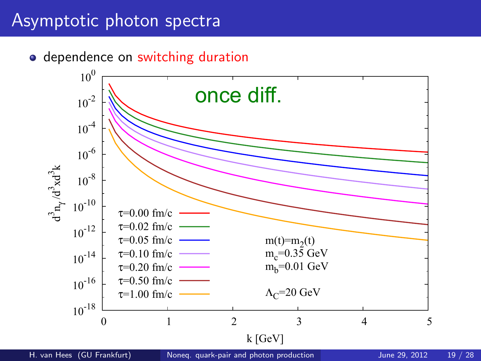#### Asymptotic photon spectra

• dependence on switching duration

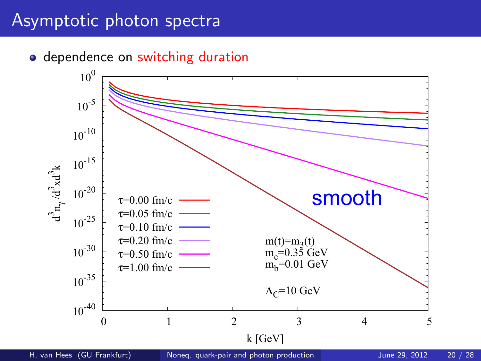#### Asymptotic photon spectra

• dependence on switching duration

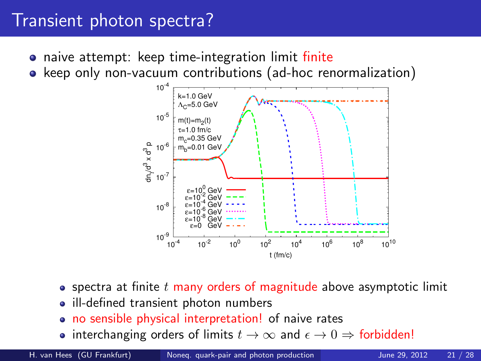#### Transient photon spectra?

- **•** naive attempt: keep time-integration limit finite
- keep only non-vacuum contributions (ad-hoc renormalization)



- spectra at finite t many orders of magnitude above asymptotic limit
- ill-defined transient photon numbers
- no sensible physical interpretation! of naive rates
- interchanging orders of limits  $t \to \infty$  and  $\epsilon \to 0 \Rightarrow$  forbidden!

H. van Hees (GU Frankfurt) [Noneq. quark-pair and photon production](#page-0-0) June 29, 2012 21 / 28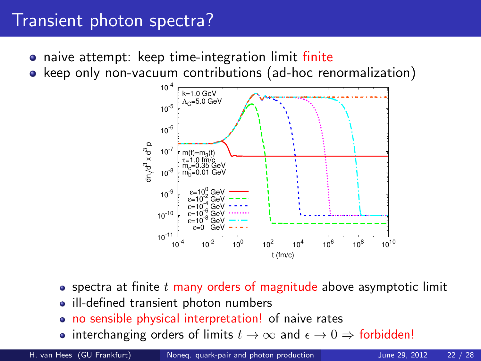#### Transient photon spectra?

- **•** naive attempt: keep time-integration limit finite
- keep only non-vacuum contributions (ad-hoc renormalization)



- spectra at finite t many orders of magnitude above asymptotic limit
- ill-defined transient photon numbers
- no sensible physical interpretation! of naive rates
- interchanging orders of limits  $t \to \infty$  and  $\epsilon \to 0 \Rightarrow$  forbidden!

H. van Hees (GU Frankfurt) [Noneq. quark-pair and photon production](#page-0-0) June 29, 2012 22 / 28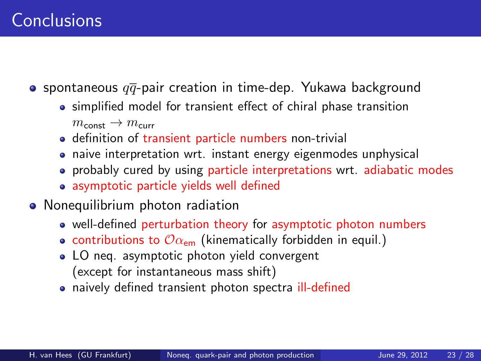**•** spontaneous  $q\overline{q}$ -pair creation in time-dep. Yukawa background

simplified model for transient effect of chiral phase transition

 $m_{\text{const}} \rightarrow m_{\text{curr}}$ 

- definition of transient particle numbers non-trivial
- naive interpretation wrt. instant energy eigenmodes unphysical
- probably cured by using particle interpretations wrt. adiabatic modes
- <span id="page-22-0"></span>• asymptotic particle yields well defined
- Nonequilibrium photon radiation
	- well-defined perturbation theory for asymptotic photon numbers
	- contributions to  $\mathcal{O}_{\alpha_{\text{em}}}$  (kinematically forbidden in equil.)
	- LO neg. asymptotic photon yield convergent (except for instantaneous mass shift)
	- naively defined transient photon spectra ill-defined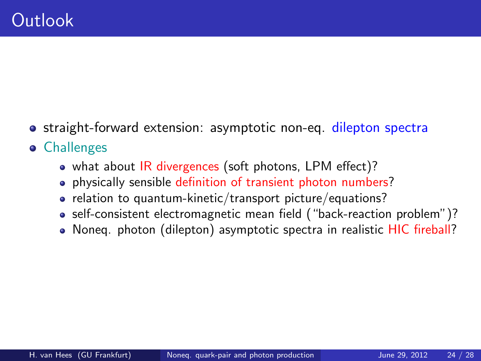- straight-forward extension: asymptotic non-eq. dilepton spectra
- **•** Challenges
	- what about IR divergences (soft photons, LPM effect)?
	- **•** physically sensible definition of transient photon numbers?
	- relation to quantum-kinetic/transport picture/equations?
	- self-consistent electromagnetic mean field ("back-reaction problem")?
	- Noneq. photon (dilepton) asymptotic spectra in realistic HIC fireball?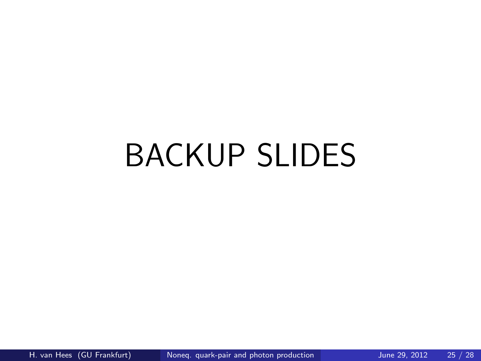# BACKUP SLIDES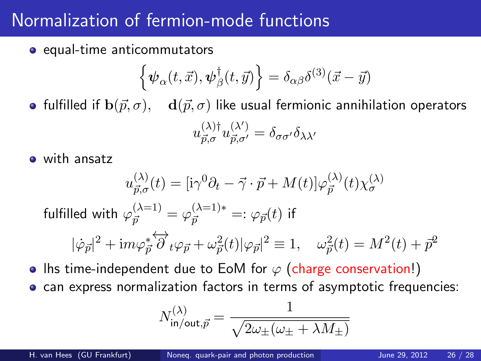### Normalization of fermion-mode functions

• equal-time anticommutators

$$
\left\{\boldsymbol{\psi}_{\alpha}(t,\vec{x}),\boldsymbol{\psi}^{\dagger}_{\beta}(t,\vec{y})\right\}=\delta_{\alpha\beta}\delta^{(3)}(\vec{x}-\vec{y})
$$

• fulfilled if  $\mathbf{b}(\vec{p}, \sigma)$ ,  $\mathbf{d}(\vec{p}, \sigma)$  like usual fermionic annihilation operators

$$
u_{\vec{p},\sigma}^{(\lambda)\dagger}u_{\vec{p},\sigma'}^{(\lambda')}=\delta_{\sigma\sigma'}\delta_{\lambda\lambda'}
$$

with ansatz

$$
u_{\vec{p},\sigma}^{(\lambda)}(t) = [\mathrm{i}\gamma^{0}\partial_{t} - \vec{\gamma}\cdot\vec{p} + M(t)]\varphi_{\vec{p}}^{(\lambda)}(t)\chi_{\sigma}^{(\lambda)}
$$

fulfilled with  $\varphi_{\vec p}^{(\lambda=1)}=\varphi_{\vec p}^{(\lambda=1)*}=:\varphi_{\vec p}(t)$  if

$$
|\dot{\varphi}_{\vec{p}}|^2+{\rm i} m\varphi_{\vec{p}}^*\overleftrightarrow{\partial}_t\varphi_{\vec{p}}+\omega_{\vec{p}}^2(t)|\varphi_{\vec{p}}|^2\equiv 1,\quad \omega_{\vec{p}}^2(t)=M^2(t)+\vec{p}^2
$$

• Ihs time-independent due to EoM for  $\varphi$  (charge conservation!)

• can express normalization factors in terms of asymptotic frequencies:

$$
N_{\text{in/out}, \vec{p}}^{(\lambda)} = \frac{1}{\sqrt{2\omega_{\pm}(\omega_{\pm} + \lambda M_{\pm})}}
$$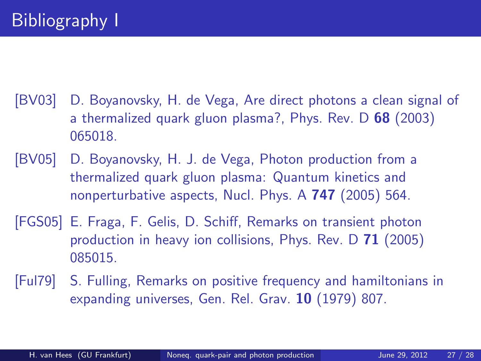- <span id="page-26-1"></span>[BV03] D. Boyanovsky, H. de Vega, Are direct photons a clean signal of a thermalized quark gluon plasma?, Phys. Rev. D 68 (2003) 065018.
- <span id="page-26-3"></span>[BV05] D. Boyanovsky, H. J. de Vega, Photon production from a thermalized quark gluon plasma: Quantum kinetics and nonperturbative aspects, Nucl. Phys. A 747 (2005) 564.
- <span id="page-26-2"></span>[FGS05] E. Fraga, F. Gelis, D. Schiff, Remarks on transient photon production in heavy ion collisions, Phys. Rev. D 71 (2005) 085015.
- <span id="page-26-4"></span><span id="page-26-0"></span>[Ful79] S. Fulling, Remarks on positive frequency and hamiltonians in expanding universes, Gen. Rel. Grav. 10 (1979) 807.